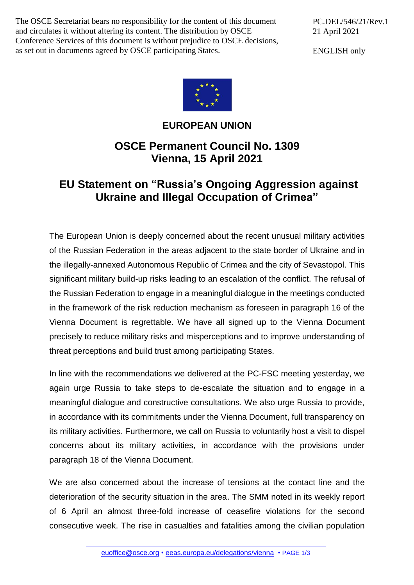The OSCE Secretariat bears no responsibility for the content of this document and circulates it without altering its content. The distribution by OSCE Conference Services of this document is without prejudice to OSCE decisions, as set out in documents agreed by OSCE participating States.

PC.DEL/546/21/Rev.1 21 April 2021

ENGLISH only



## **EUROPEAN UNION**

## **OSCE Permanent Council No. 1309 Vienna, 15 April 2021**

## **EU Statement on "Russia's Ongoing Aggression against Ukraine and Illegal Occupation of Crimea"**

The European Union is deeply concerned about the recent unusual military activities of the Russian Federation in the areas adjacent to the state border of Ukraine and in the illegally-annexed Autonomous Republic of Crimea and the city of Sevastopol. This significant military build-up risks leading to an escalation of the conflict. The refusal of the Russian Federation to engage in a meaningful dialogue in the meetings conducted in the framework of the risk reduction mechanism as foreseen in paragraph 16 of the Vienna Document is regrettable. We have all signed up to the Vienna Document precisely to reduce military risks and misperceptions and to improve understanding of threat perceptions and build trust among participating States.

In line with the recommendations we delivered at the PC-FSC meeting yesterday, we again urge Russia to take steps to de-escalate the situation and to engage in a meaningful dialogue and constructive consultations. We also urge Russia to provide, in accordance with its commitments under the Vienna Document, full transparency on its military activities. Furthermore, we call on Russia to voluntarily host a visit to dispel concerns about its military activities, in accordance with the provisions under paragraph 18 of the Vienna Document.

We are also concerned about the increase of tensions at the contact line and the deterioration of the security situation in the area. The SMM noted in its weekly report of 6 April an almost three-fold increase of ceasefire violations for the second consecutive week. The rise in casualties and fatalities among the civilian population

[euoffice@osce.org](mailto:euoffice@osce.org) • [eeas.europa.eu/delegations/vienna](http://eeas.europa.eu/delegations/vienna) • PAGE 1/3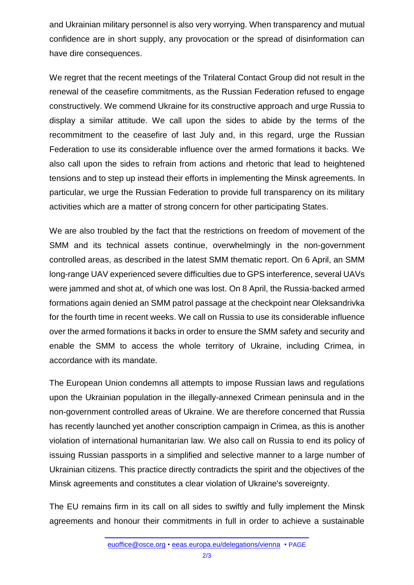and Ukrainian military personnel is also very worrying. When transparency and mutual confidence are in short supply, any provocation or the spread of disinformation can have dire consequences.

We regret that the recent meetings of the Trilateral Contact Group did not result in the renewal of the ceasefire commitments, as the Russian Federation refused to engage constructively. We commend Ukraine for its constructive approach and urge Russia to display a similar attitude. We call upon the sides to abide by the terms of the recommitment to the ceasefire of last July and, in this regard, urge the Russian Federation to use its considerable influence over the armed formations it backs. We also call upon the sides to refrain from actions and rhetoric that lead to heightened tensions and to step up instead their efforts in implementing the Minsk agreements. In particular, we urge the Russian Federation to provide full transparency on its military activities which are a matter of strong concern for other participating States.

We are also troubled by the fact that the restrictions on freedom of movement of the SMM and its technical assets continue, overwhelmingly in the non-government controlled areas, as described in the latest SMM thematic report. On 6 April, an SMM long-range UAV experienced severe difficulties due to GPS interference, several UAVs were jammed and shot at, of which one was lost. On 8 April, the Russia-backed armed formations again denied an SMM patrol passage at the checkpoint near Oleksandrivka for the fourth time in recent weeks. We call on Russia to use its considerable influence over the armed formations it backs in order to ensure the SMM safety and security and enable the SMM to access the whole territory of Ukraine, including Crimea, in accordance with its mandate.

The European Union condemns all attempts to impose Russian laws and regulations upon the Ukrainian population in the illegally-annexed Crimean peninsula and in the non-government controlled areas of Ukraine. We are therefore concerned that Russia has recently launched yet another conscription campaign in Crimea, as this is another violation of international humanitarian law. We also call on Russia to end its policy of issuing Russian passports in a simplified and selective manner to a large number of Ukrainian citizens. This practice directly contradicts the spirit and the objectives of the Minsk agreements and constitutes a clear violation of Ukraine's sovereignty.

The EU remains firm in its call on all sides to swiftly and fully implement the Minsk agreements and honour their commitments in full in order to achieve a sustainable